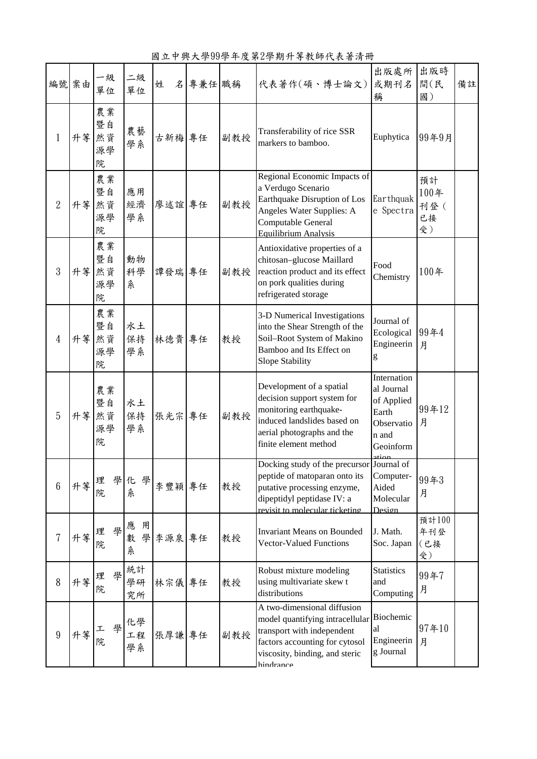編號 案由 一級 單位 二級 一。 |姓 名|專兼任|職稱 |代表著作(碩、博士論文) 出版處所 或期刊名 稱 出版時 間(民 國) 備註 1 升等 然資 農業 暨自 源學 院 農藝 農藝 古新梅 專任 副教授 Transferability of rice SSR<br>學系 台新梅 專任 副教授 markers to bamboo. Transferability of rice SSK Euphytica 99年9月 2 升等 農業 暨自 然資 源學 院 應用 經濟 學系 廖述誼 專任 副教授 Regional Economic Impacts of a Verdugo Scenario Earthquake Disruption of Los Angeles Water Supplies: A Computable General Equilibrium Analysis **Earthquak** e Spectra 預計 100年 刊登( 已接 受) 3 升等 然資 農業 暨自 源學 院 動物 科學 系 譚發瑞 專任 副教授 Antioxidative properties of a chitosan–glucose Maillard reaction product and its effect on pork qualities during refrigerated storage Food  $\frac{1000}{\text{Chemistry}}$  100年 4 升等 然資 農業 暨自 源學 院 水土 保持 學系 林德貴 專任 教授 3-D Numerical Investigations into the Shear Strength of the Soil–Root System of Makino Bamboo and Its Effect on Slope Stability Journal of Ecological Engineerin g 99年4 月 5 升等 然資 農業 暨自 源學 院 水土 保持 學系 張光宗 專任 副教授 Development of a spatial decision support system for monitoring earthquakeinduced landslides based on aerial photographs and the finite element method Internation al Journal of Applied Earth Observatio n and Geoinform ation Journal of 99年12 月  $6 \left| \begin{array}{c} \uparrow \end{array} \right|$  理 學 院 化 學 12 → 李豐穎 專任 教授 Docking study of the precursor peptide of matoparan onto its putative processing enzyme, dipeptidyl peptidase IV: a ovisit to mole Computer-Aided Molecular Design 99年3 月 <sup>7</sup> 升等 <sup>理</sup> <sup>學</sup> 院 應 用 數學李源泉 系 **專任** 教授 Invariant Means on Bounded Vector-Valued Functions J. Math. Soc. Japan 預計100 年刊登 (已接 受) <sup>8</sup> 升等 <sup>理</sup> <sup>學</sup> 院 統計 學研 究所 林宗儀 專任 教授 Robust mixture modeling using multivariate skew t distributions **Statistics** and Computing 99年7 月 9 升等 院 化學 工程 學系 張厚謙 專任 副教授 A two-dimensional diffusion model quantifying intracellular Biochemic transport with independent factors accounting for cytosol viscosity, binding, and steric al Engineerin g Journal 97年10 月

hindrance

## 國立中興大學99學年度第2學期升等教師代表著清冊